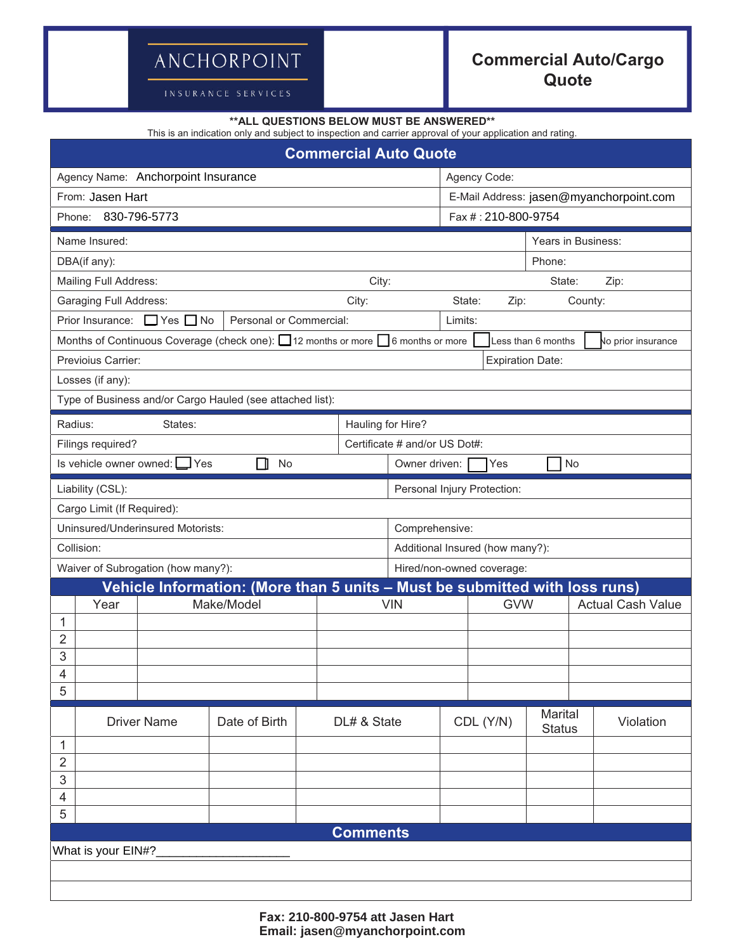## ANCHORPOINT

INSURANCE SERVICES

## **Commercial Auto/Cargo Quote**

| ** ALL QUESTIONS BELOW MUST BE ANSWERED**<br>This is an indication only and subject to inspection and carrier approval of your application and rating. |                            |                                 |                               |                                         |                     |                      |                          |           |  |  |  |
|--------------------------------------------------------------------------------------------------------------------------------------------------------|----------------------------|---------------------------------|-------------------------------|-----------------------------------------|---------------------|----------------------|--------------------------|-----------|--|--|--|
| <b>Commercial Auto Quote</b>                                                                                                                           |                            |                                 |                               |                                         |                     |                      |                          |           |  |  |  |
| Agency Name: Anchorpoint Insurance                                                                                                                     |                            |                                 |                               | Agency Code:                            |                     |                      |                          |           |  |  |  |
| From: Jasen Hart                                                                                                                                       |                            |                                 |                               | E-Mail Address: jasen@myanchorpoint.com |                     |                      |                          |           |  |  |  |
| Phone: 830-796-5773                                                                                                                                    |                            |                                 |                               |                                         | Fax #: 210-800-9754 |                      |                          |           |  |  |  |
| Name Insured:                                                                                                                                          |                            | Years in Business:              |                               |                                         |                     |                      |                          |           |  |  |  |
| DBA(if any):                                                                                                                                           |                            |                                 |                               |                                         | Phone:              |                      |                          |           |  |  |  |
| Mailing Full Address:                                                                                                                                  |                            | City:                           |                               | State:<br>Zip:                          |                     |                      |                          |           |  |  |  |
| Garaging Full Address:                                                                                                                                 |                            |                                 | State:<br>County:<br>Zip:     |                                         |                     |                      |                          |           |  |  |  |
| $\Box$ Yes $\Box$ No<br>Personal or Commercial:<br>Prior Insurance:                                                                                    |                            |                                 |                               |                                         | Limits:             |                      |                          |           |  |  |  |
| Months of Continuous Coverage (check one): $\Box$ 12 months or more $\Box$ 6 months or more<br>Less than 6 months<br>No prior insurance                |                            |                                 |                               |                                         |                     |                      |                          |           |  |  |  |
| Previoius Carrier:<br><b>Expiration Date:</b>                                                                                                          |                            |                                 |                               |                                         |                     |                      |                          |           |  |  |  |
| Losses (if any):                                                                                                                                       |                            |                                 |                               |                                         |                     |                      |                          |           |  |  |  |
| Type of Business and/or Cargo Hauled (see attached list):                                                                                              |                            |                                 |                               |                                         |                     |                      |                          |           |  |  |  |
| Radius:<br>Hauling for Hire?<br>States:                                                                                                                |                            |                                 |                               |                                         |                     |                      |                          |           |  |  |  |
| Filings required?                                                                                                                                      |                            |                                 | Certificate # and/or US Dot#: |                                         |                     |                      |                          |           |  |  |  |
| Is vehicle owner owned: Ves                                                                                                                            | No<br>Yes<br>Owner driven: |                                 |                               |                                         |                     |                      |                          |           |  |  |  |
| Liability (CSL):                                                                                                                                       |                            |                                 | Personal Injury Protection:   |                                         |                     |                      |                          |           |  |  |  |
| Cargo Limit (If Required):                                                                                                                             |                            |                                 |                               |                                         |                     |                      |                          |           |  |  |  |
| Uninsured/Underinsured Motorists:                                                                                                                      |                            |                                 |                               | Comprehensive:                          |                     |                      |                          |           |  |  |  |
| Collision:                                                                                                                                             |                            | Additional Insured (how many?): |                               |                                         |                     |                      |                          |           |  |  |  |
| Waiver of Subrogation (how many?):                                                                                                                     |                            | Hired/non-owned coverage:       |                               |                                         |                     |                      |                          |           |  |  |  |
| Vehicle Information: (More than 5 units - Must be submitted with loss runs)                                                                            |                            |                                 |                               |                                         |                     |                      |                          |           |  |  |  |
| Year                                                                                                                                                   | Make/Model                 |                                 | <b>VIN</b>                    |                                         | <b>GVW</b>          |                      | <b>Actual Cash Value</b> |           |  |  |  |
| 1<br>$\overline{2}$                                                                                                                                    |                            |                                 |                               |                                         |                     |                      |                          |           |  |  |  |
| $\ensuremath{\mathsf{3}}$                                                                                                                              |                            |                                 |                               |                                         |                     |                      |                          |           |  |  |  |
| 4                                                                                                                                                      |                            |                                 |                               |                                         |                     |                      |                          |           |  |  |  |
| 5                                                                                                                                                      |                            |                                 |                               |                                         |                     |                      |                          |           |  |  |  |
| <b>Driver Name</b>                                                                                                                                     | Date of Birth              | DL# & State                     |                               |                                         |                     | Marital<br>CDL (Y/N) |                          | Violation |  |  |  |
|                                                                                                                                                        |                            |                                 |                               |                                         | <b>Status</b>       |                      |                          |           |  |  |  |
| 1<br>$\overline{2}$                                                                                                                                    |                            |                                 |                               |                                         |                     |                      |                          |           |  |  |  |
| 3                                                                                                                                                      |                            |                                 |                               |                                         |                     |                      |                          |           |  |  |  |
| 4                                                                                                                                                      |                            |                                 |                               |                                         |                     |                      |                          |           |  |  |  |
| 5                                                                                                                                                      |                            |                                 |                               |                                         |                     |                      |                          |           |  |  |  |
| <b>Comments</b>                                                                                                                                        |                            |                                 |                               |                                         |                     |                      |                          |           |  |  |  |
| What is your EIN#?                                                                                                                                     |                            |                                 |                               |                                         |                     |                      |                          |           |  |  |  |
|                                                                                                                                                        |                            |                                 |                               |                                         |                     |                      |                          |           |  |  |  |